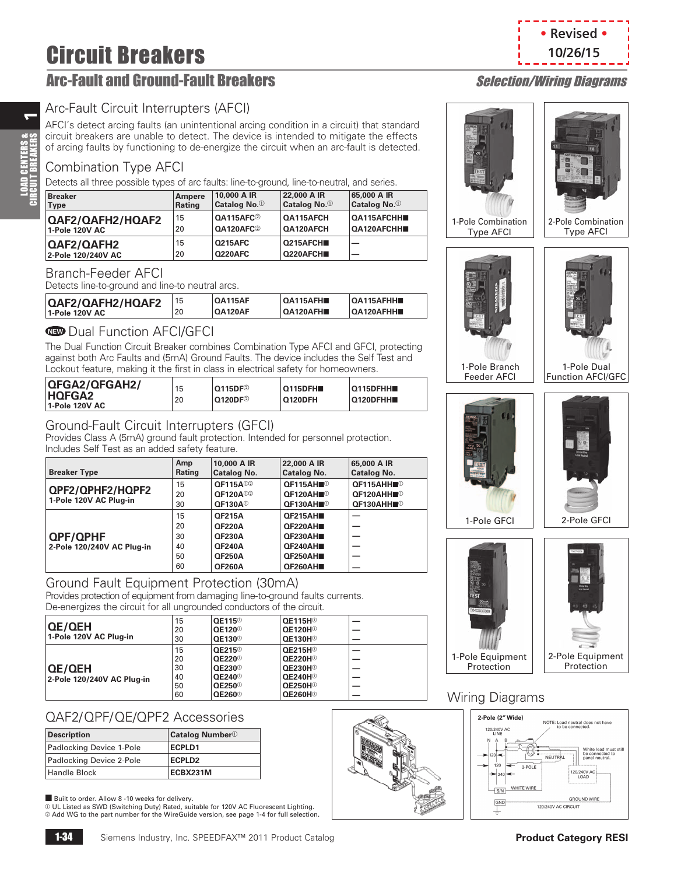# Circuit Breakers

# Arc-Fault and Ground-Fault Breakers Selection/Wiring Diagrams

## Arc-Fault Circuit Interrupters (AFCI)

AFCI's detect arcing faults (an unintentional arcing condition in a circuit) that standard circuit breakers are unable to detect. The device is intended to mitigate the effects of arcing faults by functioning to de-energize the circuit when an arc-fault is detected.

## Combination Type AFCI

Detects all three possible types of arc faults: line-to-ground, line-to-neutral, and series.

| <b>Breaker</b>          | Ampere | 10,000 A IR              | 22,000 A IR              | 65,000 A IR              |
|-------------------------|--------|--------------------------|--------------------------|--------------------------|
| Type                    | Rating | Catalog No. <sup>1</sup> | Catalog No. <sup>1</sup> | Catalog No. <sup>1</sup> |
| <b>QAF2/QAFH2/HQAF2</b> | 15     | QA115AFC <sup>2</sup>    | QA115AFCH                | <b>QA115AFCHH</b>        |
| 1-Pole 120V AC          | 20     | QA120AFC <sup>2</sup>    | <b>QA120AFCH</b>         | QA120AFCHH               |
| QAF2/QAFH2              | 15     | <b>Q215AFC</b>           | Q215AFCH <sub>I</sub>    |                          |
| 2-Pole 120/240V AC      | 20     | <b>Q220AFC</b>           | Q220AFCH                 |                          |

#### Branch-Feeder AFCI

Detects line-to-ground and line-to neutral arcs.

| <b>QA120AFH</b><br>OA120AFHH<br><b>QA120AF</b><br>20<br>1-Pole 120V AC | QAF2/QAFH2/HQAF2 | 15 | <b>QA115AF</b> | OA115AFH | $O$ A115AFHH |
|------------------------------------------------------------------------|------------------|----|----------------|----------|--------------|
|------------------------------------------------------------------------|------------------|----|----------------|----------|--------------|

### **ID** Dual Function AFCI/GFCI

The Dual Function Circuit Breaker combines Combination Type AFCI and GFCI, protecting against both Arc Faults and (5mA) Ground Faults. The device includes the Self Test and Lockout feature, making it the first in class in electrical safety for homeowners.

| QFGA2/QFGAH2/<br><b>HOFGA2</b><br>1-Pole 120V AC | 15<br>20 | $O(115DF^2)$<br>$\mathsf{0120DF} @$ | <b>Q115DFH</b><br><b>Q120DFH</b> | $O115$ DFHH<br>Q120DFHH |
|--------------------------------------------------|----------|-------------------------------------|----------------------------------|-------------------------|
|--------------------------------------------------|----------|-------------------------------------|----------------------------------|-------------------------|

### Ground-Fault Circuit Interrupters (GFCI)

Provides Class A (5mA) ground fault protection. Intended for personnel protection. Includes Self Test as an added safety feature.

| <b>Breaker Type</b>                           | Amp<br>Rating | 10,000 A IR<br>Catalog No.  | 22,000 A IR<br><b>Catalog No.</b> | 65,000 A IR<br><b>Catalog No.</b> |
|-----------------------------------------------|---------------|-----------------------------|-----------------------------------|-----------------------------------|
|                                               | 15            | <b>QF115A</b> <sup>02</sup> | QF115AH                           | OF115AHH■ <sup>①</sup>            |
| QPF2/QPHF2/HQPF2                              | 20            | <b>OF120A</b> <sup>02</sup> | <b>OF120AH</b> ■ <sup>①</sup>     | <b>QF120AHH■</b> <sup>①</sup>     |
| 1-Pole 120V AC Plug-in                        | 30            | <b>QF130A</b> <sup>0</sup>  | <b>OF130AH</b> ■ <sup>①</sup>     | QF130AHH■ <sup>①</sup>            |
| <b>QPF/QPHF</b><br>2-Pole 120/240V AC Plug-in | 15            | <b>QF215A</b>               | OF215AH■                          |                                   |
|                                               | 20            | <b>QF220A</b>               | <b>QF220AH■</b>                   |                                   |
|                                               | 30            | <b>QF230A</b>               | <b>QF230AH■</b>                   |                                   |
|                                               | 40            | <b>QF240A</b>               | QF240AH■                          |                                   |
|                                               | 50            | <b>QF250A</b>               | QF250AH■                          |                                   |
|                                               | 60            | <b>QF260A</b>               | QF260AH■                          |                                   |

#### Ground Fault Equipment Protection (30mA) Provides protection of equipment from damaging line-to-ground faults currents. De-energizes the circuit for all ungrounded conductors of the circuit.

| <u>DU UNUQIZUU TIIU UNUQIT IUI UNUQIUUNIUUU UUNUUUUU UI TIIU UNUQIT.</u> |    |                           |                              |  |
|--------------------------------------------------------------------------|----|---------------------------|------------------------------|--|
|                                                                          | 15 | QE115 <sup>0</sup>        | <b>QE115H</b> <sup>®</sup>   |  |
| <b>QE/QEH</b>                                                            | 20 | <b>QE120</b> <sup>0</sup> | <b>QE120H</b> <sup>®</sup>   |  |
| 1-Pole 120V AC Plug-in                                                   | 30 | <b>QE130</b> <sup>0</sup> | <b>QE130H</b> <sup>®</sup>   |  |
| <b>QE/QEH</b><br>2-Pole 120/240V AC Plug-in                              | 15 | <b>QE215</b> <sup>0</sup> | <b>QE215H</b> <sup>®</sup>   |  |
|                                                                          | 20 | <b>QE220</b> <sup>0</sup> | <b>QE220H</b> <sup>®</sup>   |  |
|                                                                          | 30 | $OE230^{\circ}$           | OE230H <sup>0</sup>          |  |
|                                                                          | 40 | <b>QE240</b> <sup>0</sup> | <b>QE240H</b> <sup>®</sup>   |  |
|                                                                          | 50 | <b>QE250</b> <sup>0</sup> | <b>QE250H</b> <sup>®</sup>   |  |
|                                                                          | 60 | <b>QE260</b> <sup>0</sup> | $^{\circ}$ QE260H $^{\circ}$ |  |

# QAF2/QPF/QE/QPF2 Accessories

| <b>Description</b>       | Catalog Number <sup>1</sup> |
|--------------------------|-----------------------------|
| Padlocking Device 1-Pole | <b>ECPLD1</b>               |
| Padlocking Device 2-Pole | <b>ECPLD2</b>               |
| <b>Handle Block</b>      | ECBX231M                    |

■ Built to order. Allow 8 -10 weeks for delivery.<br>① UL Listed as SWD (Switching Duty) Rated, suitable for 120V AC Fluorescent Lighting.<br>② Add WG to the part number for the WireGuide version, see page 1-4 for full selectio



**• Revised • 10/26/15**







#### Wiring Diagrams